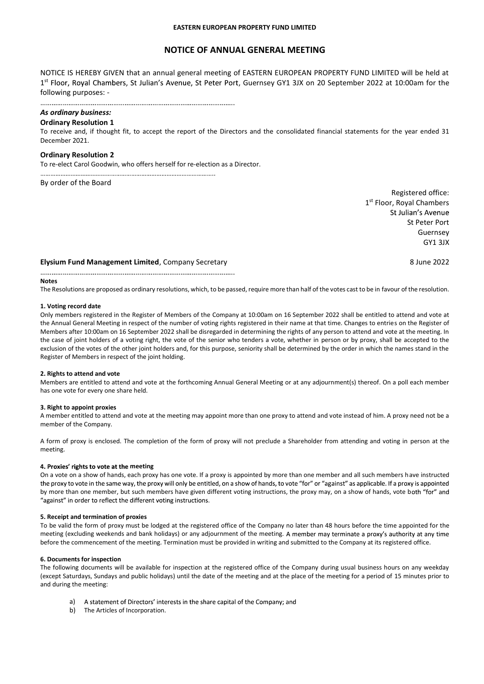# NOTICE OF ANNUAL GENERAL MEETING

NOTICE IS HEREBY GIVEN that an annual general meeting of EASTERN EUROPEAN PROPERTY FUND LIMITED will be held at 1<sup>st</sup> Floor, Royal Chambers, St Julian's Avenue, St Peter Port, Guernsey GY1 3JX on 20 September 2022 at 10:00am for the following purposes: -

# As ordinary business:

#### Ordinary Resolution 1

To receive and, if thought fit, to accept the report of the Directors and the consolidated financial statements for the year ended 31 December 2021.

### Ordinary Resolution 2

To re-elect Carol Goodwin, who offers herself for re-election as a Director.

By order of the Board

Registered office: 1 st Floor, Royal Chambers St Julian's Avenue St Peter Port Guernsey GY1 3JX

# Elysium Fund Management Limited, Company Secretary 8 June 2022

#### Notes

The Resolutions are proposed as ordinary resolutions, which, to be passed, require more than half of the votes cast to be in favour of the resolution.

#### 1. Voting record date

Only members registered in the Register of Members of the Company at 10:00am on 16 September 2022 shall be entitled to attend and vote at the Annual General Meeting in respect of the number of voting rights registered in their name at that time. Changes to entries on the Register of Members after 10:00am on 16 September 2022 shall be disregarded in determining the rights of any person to attend and vote at the meeting. In the case of joint holders of a voting right, the vote of the senior who tenders a vote, whether in person or by proxy, shall be accepted to the exclusion of the votes of the other joint holders and, for this purpose, seniority shall be determined by the order in which the names stand in the Register of Members in respect of the joint holding.

#### 2. Rights to attend and vote

Members are entitled to attend and vote at the forthcoming Annual General Meeting or at any adjournment(s) thereof. On a poll each member has one vote for every one share held.

#### 3. Right to appoint proxies

A member entitled to attend and vote at the meeting may appoint more than one proxy to attend and vote instead of him. A proxy need not be a member of the Company.

A form of proxy is enclosed. The completion of the form of proxy will not preclude a Shareholder from attending and voting in person at the meeting.

#### 4. Proxies' rights to vote at the meeting

On a vote on a show of hands, each proxy has one vote. If a proxy is appointed by more than one member and all such members have instructed<br>the proxy to vote in the same way, the proxy will only be entitled, on a show of h by more than one member, but such members have given different voting instructions, the proxy may, on a show of hands, vote both "for" and "against" in order to reflect the different voting instructions.

#### 5. Receipt and termination of proxies

To be valid the form of proxy must be lodged at the registered office of the Company no later than 48 hours before the time appointed for the meeting (excluding weekends and bank holidays) or any adjournment of the meeting. A member may terminate a proxy's authority at any time before the commencement of the meeting. Termination must be provided in writing and submitted to the Company at its registered office.

#### 6. Documents for inspection

The following documents will be available for inspection at the registered office of the Company during usual business hours on any weekday (except Saturdays, Sundays and public holidays) until the date of the meeting and at the place of the meeting for a period of 15 minutes prior to and during the meeting:

- a) A statement of Directors' interests in the share capital of the Company; and
- b) The Articles of Incorporation.